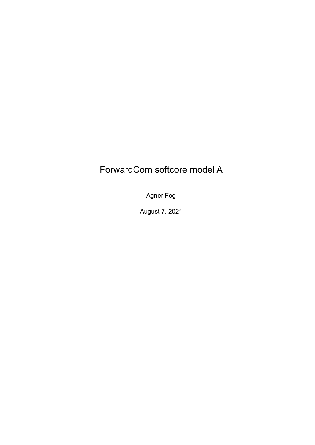## ForwardCom softcore model A

Agner Fog

August 7, 2021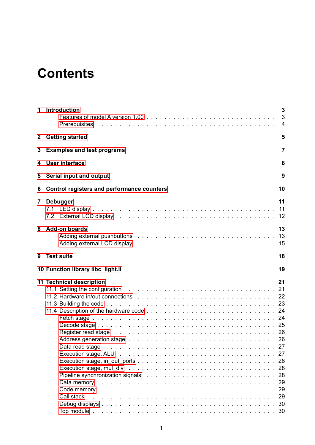# **Contents**

| 1            | Introduction                                                                                                                                                                                                                                                                                                                                                                                                                                                                                                                                                                                                                                                                                                                                                                                                                                       | 3<br>3<br>4                |
|--------------|----------------------------------------------------------------------------------------------------------------------------------------------------------------------------------------------------------------------------------------------------------------------------------------------------------------------------------------------------------------------------------------------------------------------------------------------------------------------------------------------------------------------------------------------------------------------------------------------------------------------------------------------------------------------------------------------------------------------------------------------------------------------------------------------------------------------------------------------------|----------------------------|
| $\mathbf{2}$ | <b>Getting started</b>                                                                                                                                                                                                                                                                                                                                                                                                                                                                                                                                                                                                                                                                                                                                                                                                                             | 5                          |
| 3            | <b>Examples and test programs</b>                                                                                                                                                                                                                                                                                                                                                                                                                                                                                                                                                                                                                                                                                                                                                                                                                  | 7                          |
| 4            | <b>User interface</b>                                                                                                                                                                                                                                                                                                                                                                                                                                                                                                                                                                                                                                                                                                                                                                                                                              | 8                          |
| 5            | Serial input and output                                                                                                                                                                                                                                                                                                                                                                                                                                                                                                                                                                                                                                                                                                                                                                                                                            | 9                          |
| 6            | <b>Control registers and performance counters</b>                                                                                                                                                                                                                                                                                                                                                                                                                                                                                                                                                                                                                                                                                                                                                                                                  | 10                         |
| 7            | <b>Debugger</b>                                                                                                                                                                                                                                                                                                                                                                                                                                                                                                                                                                                                                                                                                                                                                                                                                                    | 11<br>11<br>12             |
| 8            | <b>Add-on boards</b><br>Adding external LCD display enterpresent resources in the set of the set of the set of the set of the set of t                                                                                                                                                                                                                                                                                                                                                                                                                                                                                                                                                                                                                                                                                                             | 13<br>13<br>15             |
| 9            | <b>Test suite</b>                                                                                                                                                                                                                                                                                                                                                                                                                                                                                                                                                                                                                                                                                                                                                                                                                                  | 18                         |
|              | 10 Function library libc_light.li                                                                                                                                                                                                                                                                                                                                                                                                                                                                                                                                                                                                                                                                                                                                                                                                                  | 19                         |
|              | 11 Technical description<br>11.2 Hardware in/out connections enterprised by enterprised by enterprised by enterprised by the enterprised o<br>Register read stage entertainment and the contract of the contract of the contract of the contract of the contr<br>Address generation stage edges and such a contract of the contract of the contract of the contract of the contr<br>Data read stage enterpreteration and state of the contract of the contract of the contract of the contract of the contract of the contract of the contract of the contract of the contract of the contract of the contract of<br>Pipeline synchronization signals extended by example the set of the set of the set of the set of the set of the set of the set of the set of the set of the set of the set of the set of the set of the set of the set of the | 21<br>27<br>27<br>29<br>29 |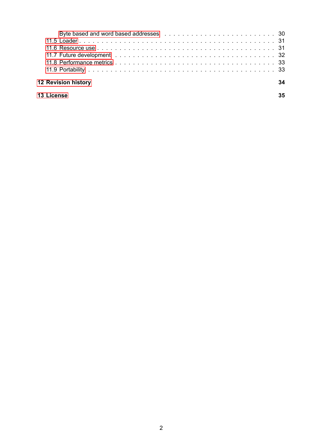|            | <b>12 Revision history</b> | 34 |
|------------|----------------------------|----|
| 13 License |                            | 35 |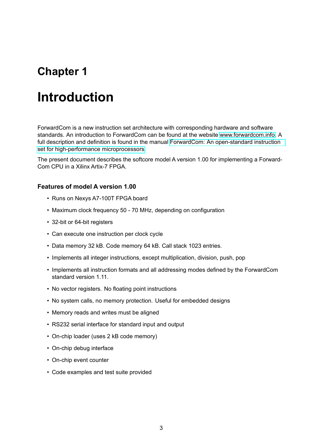# <span id="page-3-0"></span>**Introduction**

ForwardCom is a new instruction set architecture with corresponding hardware and software standards. An introduction to ForwardCom can be found at the website [www.forwardcom.info.](https://www.forwardcom.info) A full description and definition is found in the manual [ForwardCom: An open-standard instruction](https://github.com/ForwardCom/manual/raw/master/forwardcom.pdf) [set for high-performance microprocessors.](https://github.com/ForwardCom/manual/raw/master/forwardcom.pdf)

The present document describes the softcore model A version 1.00 for implementing a Forward-Com CPU in a Xilinx Artix-7 FPGA.

#### <span id="page-3-1"></span>**Features of model A version 1.00**

- Runs on Nexys A7-100T FPGA board
- Maximum clock frequency 50 70 MHz, depending on configuration
- 32-bit or 64-bit registers
- Can execute one instruction per clock cycle
- Data memory 32 kB. Code memory 64 kB. Call stack 1023 entries.
- Implements all integer instructions, except multiplication, division, push, pop
- Implements all instruction formats and all addressing modes defined by the ForwardCom standard version 1.11.
- No vector registers. No floating point instructions
- No system calls, no memory protection. Useful for embedded designs
- Memory reads and writes must be aligned
- RS232 serial interface for standard input and output
- On-chip loader (uses 2 kB code memory)
- On-chip debug interface
- On-chip event counter
- Code examples and test suite provided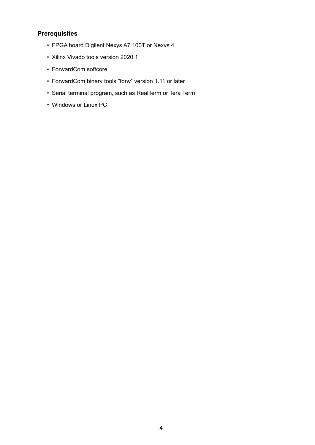### <span id="page-4-0"></span>**Prerequisites**

- FPGA board Digilent Nexys A7 100T or Nexys 4
- Xilinx Vivado tools version 2020.1
- ForwardCom softcore
- ForwardCom binary tools "forw" version 1.11 or later
- Serial terminal program, such as RealTerm or Tera Term
- Windows or Linux PC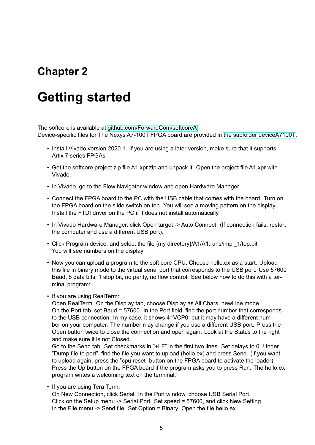# <span id="page-5-0"></span>**Getting started**

The softcore is available at [github.com/ForwardCom/softcoreA.](https://github.com/ForwardCom/softcoreA) Device-specific files for The Nexys A7-100T FPGA board are provided in [the subfolder deviceA7100T.](https://github.com/ForwardCom/softcoreA/tree/main/deviceA7100T)

- Install Vivado version 2020.1. If you are using a later version, make sure that it supports Artix 7 series FPGAs
- Get the softcore project zip file A1.xpr.zip and unpack it. Open the project file A1.xpr with Vivado.
- In Vivado, go to the Flow Navigator window and open Hardware Manager
- Connect the FPGA board to the PC with the USB cable that comes with the board. Turn on the FPGA board on the slide switch on top. You will see a moving pattern on the display. Install the FTDI driver on the PC if it does not install automatically.
- In Vivado Hardware Manager, click Open target -> Auto Connect. (If connection fails, restart the computer and use a different USB port).
- Click Program device, and select the file {my directory}/A1/A1.runs/impl\_1/top.bit You will see numbers on the display
- Now you can upload a program to the soft core CPU. Choose hello.ex as a start. Upload this file in binary mode to the virtual serial port that corresponds to the USB port. Use 57600 Baud, 8 data bits, 1 stop bit, no parity, no flow control. See below how to do this with a terminal program:
- If you are using RealTerm:

Open RealTerm. On the Display tab, choose Display as All Chars, newLine mode. On the Port tab, set Baud = 57600. In the Port field, find the port number that corresponds to the USB connection. In my case, it shows 4=VCP0, but it may have a different number on your computer. The number may change if you use a different USB port. Press the Open button twice to close the connection and open again. Look at the Status to the right and make sure it is not Closed.

Go to the Send tab. Set checkmarks in "+LF" in the first two lines. Set delays to 0. Under "Dump file to port", find the file you want to upload (hello.ex) and press Send. (If you want to upload again, press the "cpu reset" button on the FPGA board to activate the loader). Press the Up button on the FPGA board if the program asks you to press Run. The hello.ex program writes a welcoming text on the terminal.

• If you are using Tera Term:

On New Connection, click Serial. In the Port window, choose USB Serial Port. Click on the Setup menu -> Serial Port. Set speed = 57600, and click New Setting In the File menu -> Send file. Set Option = Binary. Open the file hello.ex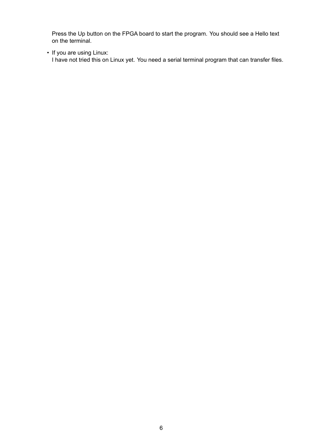Press the Up button on the FPGA board to start the program. You should see a Hello text on the terminal.

• If you are using Linux:

I have not tried this on Linux yet. You need a serial terminal program that can transfer files.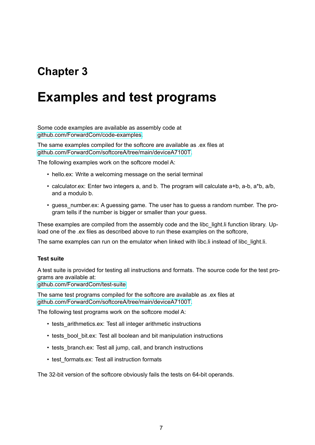# <span id="page-7-0"></span>**Examples and test programs**

Some code examples are available as assembly code at [github.com/ForwardCom/code-examples.](https://github.com/ForwardCom/code-examples)

The same examples compiled for the softcore are available as .ex files at [github.com/ForwardCom/softcoreA/tree/main/deviceA7100T.](https://github.com/ForwardCom/softcoreA/tree/main/deviceA7100T)

The following examples work on the softcore model A:

- hello.ex: Write a welcoming message on the serial terminal
- calculator.ex: Enter two integers a, and b. The program will calculate a+b, a-b, a\*b, a/b, and a modulo b.
- guess number.ex: A guessing game. The user has to guess a random number. The program tells if the number is bigger or smaller than your guess.

These examples are compiled from the assembly code and the libc light. I function library. Upload one of the .ex files as described above to run these examples on the softcore,

The same examples can run on the emulator when linked with libc. I instead of libc light. Ii.

#### **Test suite**

A test suite is provided for testing all instructions and formats. The source code for the test programs are available at:

[github.com/ForwardCom/test-suite](https://github.com/ForwardCom/test-suite)

The same test programs compiled for the softcore are available as .ex files at [github.com/ForwardCom/softcoreA/tree/main/deviceA7100T.](https://github.com/ForwardCom/softcoreA/tree/main/deviceA7100T)

The following test programs work on the softcore model A:

- tests arithmetics.ex: Test all integer arithmetic instructions
- tests\_bool\_bit.ex: Test all boolean and bit manipulation instructions
- tests branch.ex: Test all jump, call, and branch instructions
- test formats.ex: Test all instruction formats

The 32-bit version of the softcore obviously fails the tests on 64-bit operands.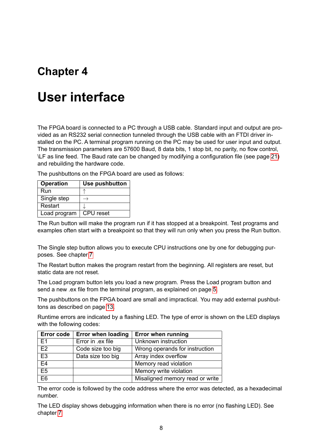# <span id="page-8-0"></span>**User interface**

The FPGA board is connected to a PC through a USB cable. Standard input and output are provided as an RS232 serial connection tunneled through the USB cable with an FTDI driver installed on the PC. A terminal program running on the PC may be used for user input and output. The transmission parameters are 57600 Baud, 8 data bits, 1 stop bit, no parity, no flow control, \LF as line feed. The Baud rate can be changed by modifying a configuration file (see page [21\)](#page-21-1) and rebuilding the hardware code.

The pushbuttons on the FPGA board are used as follows:

| <b>Operation</b> | Use pushbutton |
|------------------|----------------|
| Run              |                |
| Single step      |                |
| Restart          |                |
| Load program     | CPU reset      |

The Run button will make the program run if it has stopped at a breakpoint. Test programs and examples often start with a breakpoint so that they will run only when you press the Run button.

The Single step button allows you to execute CPU instructions one by one for debugging purposes. See chapter [7](#page-11-0)

The Restart button makes the program restart from the beginning. All registers are reset, but static data are not reset.

The Load program button lets you load a new program. Press the Load program button and send a new .ex file from the terminal program, as explained on page [5.](#page-5-0)

The pushbuttons on the FPGA board are small and impractical. You may add external pushbuttons as described on page [13.](#page-13-1)

Runtime errors are indicated by a flashing LED. The type of error is shown on the LED displays with the following codes:

| Error code $ $ | <b>Error when loading</b> | <b>Error when running</b>       |
|----------------|---------------------------|---------------------------------|
| E <sub>1</sub> | Error in .ex file         | Unknown instruction             |
| E2             | Code size too big         | Wrong operands for instruction  |
| E <sub>3</sub> | Data size too big         | Array index overflow            |
| E4             |                           | Memory read violation           |
| E <sub>5</sub> |                           | Memory write violation          |
| E <sub>6</sub> |                           | Misaligned memory read or write |

The error code is followed by the code address where the error was detected, as a hexadecimal number.

The LED display shows debugging information when there is no error (no flashing LED). See chapter [7](#page-11-0)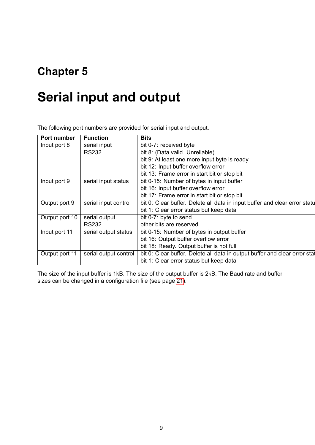# <span id="page-9-0"></span>**Serial input and output**

The following port numbers are provided for serial input and output.

| Port number    | <b>Function</b>       | <b>Bits</b>                                                                |
|----------------|-----------------------|----------------------------------------------------------------------------|
| Input port 8   | serial input          | bit 0-7: received byte                                                     |
|                | <b>RS232</b>          | bit 8: (Data valid. Unreliable)                                            |
|                |                       | bit 9: At least one more input byte is ready                               |
|                |                       | bit 12: Input buffer overflow error                                        |
|                |                       | bit 13: Frame error in start bit or stop bit                               |
| Input port 9   | serial input status   | bit 0-15: Number of bytes in input buffer                                  |
|                |                       | bit 16: Input buffer overflow error                                        |
|                |                       | bit 17: Frame error in start bit or stop bit                               |
| Output port 9  | serial input control  | bit 0: Clear buffer. Delete all data in input buffer and clear error statu |
|                |                       | bit 1: Clear error status but keep data                                    |
| Output port 10 | serial output         | bit 0-7: byte to send                                                      |
|                | <b>RS232</b>          | other bits are reserved                                                    |
| Input port 11  | serial output status  | bit 0-15: Number of bytes in output buffer                                 |
|                |                       | bit 16: Output buffer overflow error                                       |
|                |                       | bit 18: Ready. Output buffer is not full                                   |
| Output port 11 | serial output control | bit 0: Clear buffer. Delete all data in output buffer and clear error stat |
|                |                       | bit 1: Clear error status but keep data                                    |
|                |                       |                                                                            |

The size of the input buffer is 1kB. The size of the output buffer is 2kB. The Baud rate and buffer sizes can be changed in a configuration file (see page [21\)](#page-21-1).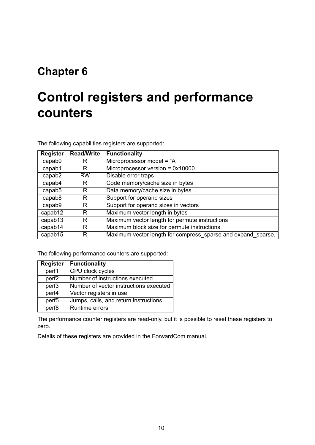# <span id="page-10-0"></span>**Control registers and performance counters**

The following capabilities registers are supported:

| <b>Register</b>                                      | <b>Read/Write</b>                    | <b>Functionality</b>                                         |  |  |
|------------------------------------------------------|--------------------------------------|--------------------------------------------------------------|--|--|
| capab <sub>0</sub>                                   | R                                    | Microprocessor model = "A"                                   |  |  |
| capab1                                               | R                                    | Microprocessor version = $0x10000$                           |  |  |
| capab2                                               | <b>RW</b>                            | Disable error traps                                          |  |  |
| capab4                                               | Code memory/cache size in bytes<br>R |                                                              |  |  |
| Data memory/cache size in bytes<br>capab5<br>R       |                                      |                                                              |  |  |
| Support for operand sizes<br>capab <sub>8</sub><br>R |                                      |                                                              |  |  |
| capab9                                               | R                                    | Support for operand sizes in vectors                         |  |  |
| capab12                                              | R                                    | Maximum vector length in bytes                               |  |  |
| capab13                                              | R                                    | Maximum vector length for permute instructions               |  |  |
| capab14                                              | R                                    | Maximum block size for permute instructions                  |  |  |
| capab15                                              | R                                    | Maximum vector length for compress sparse and expand sparse. |  |  |

The following performance counters are supported:

| <b>Register</b>   | <b>Functionality</b>                   |
|-------------------|----------------------------------------|
| perf1             | CPU clock cycles                       |
| perf <sub>2</sub> | Number of instructions executed        |
| perf <sub>3</sub> | Number of vector instructions executed |
| perf4             | Vector registers in use                |
| perf <sub>5</sub> | Jumps, calls, and return instructions  |
| perf8             | <b>Runtime errors</b>                  |

The performance counter registers are read-only, but it is possible to reset these registers to zero.

Details of these registers are provided in the ForwardCom manual.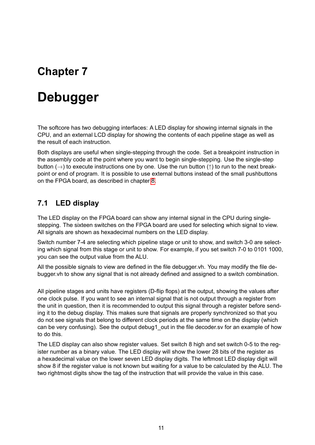# <span id="page-11-0"></span>**Debugger**

The softcore has two debugging interfaces: A LED display for showing internal signals in the CPU, and an external LCD display for showing the contents of each pipeline stage as well as the result of each instruction.

Both displays are useful when single-stepping through the code. Set a breakpoint instruction in the assembly code at the point where you want to begin single-stepping. Use the single-step button ( $\rightarrow$ ) to execute instructions one by one. Use the run button ( $\uparrow$ ) to run to the next breakpoint or end of program. It is possible to use external buttons instead of the small pushbuttons on the FPGA board, as described in chapter [8.](#page-13-0)

### <span id="page-11-1"></span>**7.1 LED display**

The LED display on the FPGA board can show any internal signal in the CPU during singlestepping. The sixteen switches on the FPGA board are used for selecting which signal to view. All signals are shown as hexadecimal numbers on the LED display.

Switch number 7-4 are selecting which pipeline stage or unit to show, and switch 3-0 are selecting which signal from this stage or unit to show. For example, if you set switch 7-0 to 0101 1000, you can see the output value from the ALU.

All the possible signals to view are defined in the file debugger.vh. You may modify the file debugger.vh to show any signal that is not already defined and assigned to a switch combination.

All pipeline stages and units have registers (D-flip flops) at the output, showing the values after one clock pulse. If you want to see an internal signal that is not output through a register from the unit in question, then it is recommended to output this signal through a register before sending it to the debug display. This makes sure that signals are properly synchronized so that you do not see signals that belong to different clock periods at the same time on the display (which can be very confusing). See the output debug1 out in the file decoder.sv for an example of how to do this.

The LED display can also show register values. Set switch 8 high and set switch 0-5 to the register number as a binary value. The LED display will show the lower 28 bits of the register as a hexadecimal value on the lower seven LED display digits. The leftmost LED display digit will show 8 if the register value is not known but waiting for a value to be calculated by the ALU. The two rightmost digits show the tag of the instruction that will provide the value in this case.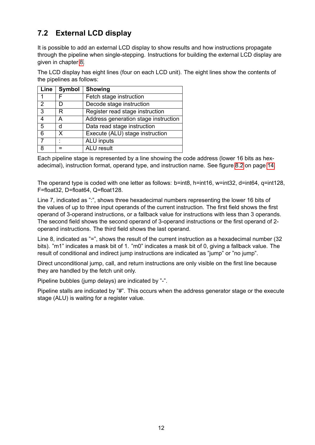### <span id="page-12-0"></span>**7.2 External LCD display**

It is possible to add an external LCD display to show results and how instructions propagate through the pipeline when single-stepping. Instructions for building the external LCD display are given in chapter [8.](#page-13-0)

The LCD display has eight lines (four on each LCD unit). The eight lines show the contents of the pipelines as follows:

| Line           | Symbol | <b>Showing</b>                       |  |  |
|----------------|--------|--------------------------------------|--|--|
| 1              |        | Fetch stage instruction              |  |  |
| $\mathcal{P}$  | n      | Decode stage instruction             |  |  |
| 3              | R      | Register read stage instruction      |  |  |
| 4              | А      | Address generation stage instruction |  |  |
| 5              | d      | Data read stage instruction          |  |  |
| 6              | x      | Execute (ALU) stage instruction      |  |  |
| $\overline{7}$ |        | <b>ALU</b> inputs                    |  |  |
| я              |        | <b>ALU</b> result                    |  |  |

Each pipeline stage is represented by a line showing the code address (lower 16 bits as hexadecimal), instruction format, operand type, and instruction name. See figure [8.2](#page-14-0) on page [14.](#page-14-0)

The operand type is coded with one letter as follows: b=int8, h=int16, w=int32, d=int64, q=int128, F=float32, D=float64, Q=float128.

Line 7, indicated as ":", shows three hexadecimal numbers representing the lower 16 bits of the values of up to three input operands of the current instruction. The first field shows the first operand of 3-operand instructions, or a fallback value for instructions with less than 3 operands. The second field shows the second operand of 3-operand instructions or the first operand of 2 operand instructions. The third field shows the last operand.

Line 8, indicated as "=", shows the result of the current instruction as a hexadecimal number (32) bits). "m1" indicates a mask bit of 1. "m0" indicates a mask bit of 0, giving a fallback value. The result of conditional and indirect jump instructions are indicated as "jump" or "no jump".

Direct unconditional jump, call, and return instructions are only visible on the first line because they are handled by the fetch unit only.

Pipeline bubbles (jump delays) are indicated by "-".

Pipeline stalls are indicated by "#". This occurs when the address generator stage or the execute stage (ALU) is waiting for a register value.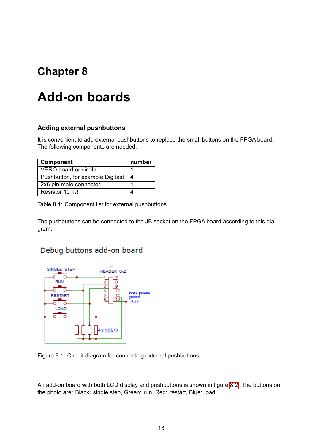# <span id="page-13-0"></span>**Add-on boards**

#### <span id="page-13-1"></span>**Adding external pushbuttons**

It is convenient to add external pushbuttons to replace the small buttons on the FPGA board. The following components are needed.

| Component                        | number |
|----------------------------------|--------|
| VERO board or similar            |        |
| Pushbutton, for example Digitast | 4      |
| 2x6 pin male connector           |        |
| Resistor 10 k $\Omega$           |        |

Table 8.1: Component list for external pushbuttons

The pushbuttons can be connected to the JB socket on the FPGA board according to this diagram:

### Debug buttons add-on board



Figure 8.1: Circuit diagram for connecting external pushbuttons

An add-on board with both LCD display and pushbuttons is shown in figure [8.2.](#page-14-0) The buttons on the photo are: Black: single step, Green: run, Red: restart, Blue: load.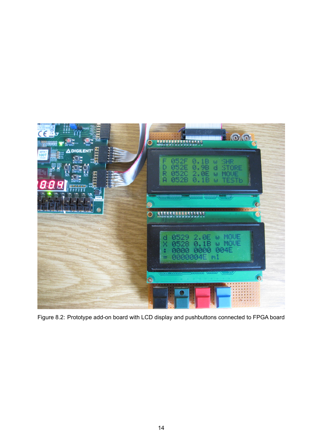<span id="page-14-0"></span>

Figure 8.2: Prototype add-on board with LCD display and pushbuttons connected to FPGA board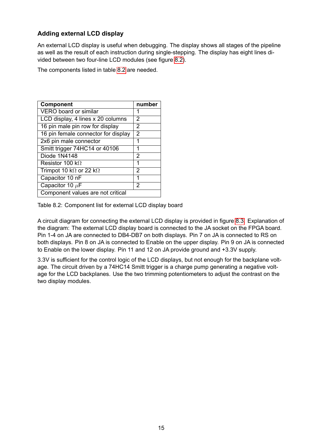#### <span id="page-15-0"></span>**Adding external LCD display**

An external LCD display is useful when debugging. The display shows all stages of the pipeline as well as the result of each instruction during single-stepping. The display has eight lines divided between two four-line LCD modules (see figure [8.2\)](#page-14-0).

The components listed in table [8.2](#page-15-1) are needed.

<span id="page-15-1"></span>

| Component                              | number         |  |  |
|----------------------------------------|----------------|--|--|
| VERO board or similar                  | 1              |  |  |
| LCD display, 4 lines x 20 columns      | 2              |  |  |
| 16 pin male pin row for display        | 2              |  |  |
| 16 pin female connector for display    | $\overline{2}$ |  |  |
| 2x6 pin male connector                 | 1              |  |  |
| Smitt trigger 74HC14 or 40106          | 1              |  |  |
| Diode 1N4148                           | 2              |  |  |
| Resistor 100 k $\Omega$                | 1              |  |  |
| Trimpot 10 k $\Omega$ or 22 k $\Omega$ | 2              |  |  |
| Capacitor 10 nF                        | 1              |  |  |
| Capacitor 10 $\mu$ F                   | 2              |  |  |
| Component values are not critical      |                |  |  |

Table 8.2: Component list for external LCD display board

A circuit diagram for connecting the external LCD display is provided in figure [8.3.](#page-16-0) Explanation of the diagram: The external LCD display board is connected to the JA socket on the FPGA board. Pin 1-4 on JA are connected to DB4-DB7 on both displays. Pin 7 on JA is connected to RS on both displays. Pin 8 on JA is connected to Enable on the upper display. Pin 9 on JA is connected to Enable on the lower display. Pin 11 and 12 on JA provide ground and +3.3V supply.

3.3V is sufficient for the control logic of the LCD displays, but not enough for the backplane voltage. The circuit driven by a 74HC14 Smitt trigger is a charge pump generating a negative voltage for the LCD backplanes. Use the two trimming potentiometers to adjust the contrast on the two display modules.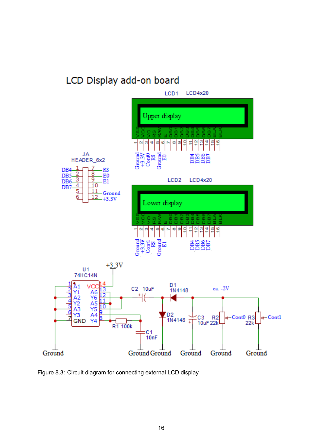## LCD Display add-on board

<span id="page-16-0"></span>

Figure 8.3: Circuit diagram for connecting external LCD display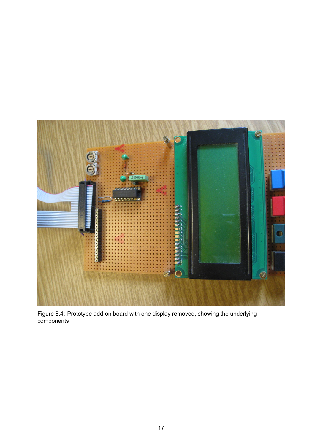

Figure 8.4: Prototype add-on board with one display removed, showing the underlying components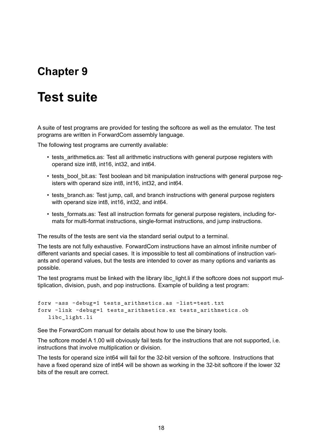# <span id="page-18-0"></span>**Test suite**

A suite of test programs are provided for testing the softcore as well as the emulator. The test programs are written in ForwardCom assembly language.

The following test programs are currently available:

- tests arithmetics.as: Test all arithmetic instructions with general purpose registers with operand size int8, int16, int32, and int64.
- tests bool bit.as: Test boolean and bit manipulation instructions with general purpose registers with operand size int8, int16, int32, and int64.
- tests branch.as: Test jump, call, and branch instructions with general purpose registers with operand size int8, int16, int32, and int64.
- tests formats.as: Test all instruction formats for general purpose registers, including formats for multi-format instructions, single-format instructions, and jump instructions.

The results of the tests are sent via the standard serial output to a terminal.

The tests are not fully exhaustive. ForwardCom instructions have an almost infinite number of different variants and special cases. It is impossible to test all combinations of instruction variants and operand values, but the tests are intended to cover as many options and variants as possible.

The test programs must be linked with the library libc light. Ii if the softcore does not support multiplication, division, push, and pop instructions. Example of building a test program:

```
forw -ass -debug=1 tests_arithmetics.as -list=test.txt
forw -link -debug=1 tests arithmetics .ex tests arithmetics .ob
   libc_light .li
```
See the ForwardCom manual for details about how to use the binary tools.

The softcore model A 1.00 will obviously fail tests for the instructions that are not supported, i.e. instructions that involve multiplication or division.

The tests for operand size int64 will fail for the 32-bit version of the softcore. Instructions that have a fixed operand size of int64 will be shown as working in the 32-bit softcore if the lower 32 bits of the result are correct.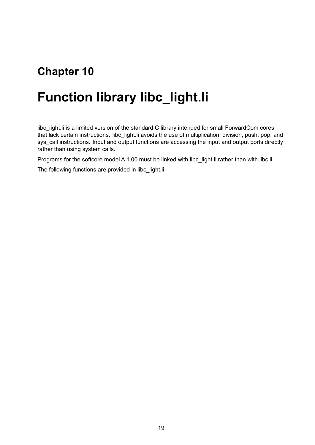# <span id="page-19-0"></span>**Function library libc\_light.li**

libc\_light.li is a limited version of the standard C library intended for small ForwardCom cores that lack certain instructions. libc\_light.li avoids the use of multiplication, division, push, pop, and sys call instructions. Input and output functions are accessing the input and output ports directly rather than using system calls.

Programs for the softcore model A 1.00 must be linked with libc\_light. I rather than with libc.li.

The following functions are provided in libc\_light.li: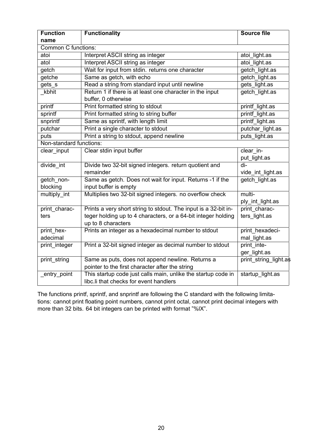| <b>Function</b>            | <b>Functionality</b>                                                                                    | <b>Source file</b>          |  |  |  |
|----------------------------|---------------------------------------------------------------------------------------------------------|-----------------------------|--|--|--|
| name                       |                                                                                                         |                             |  |  |  |
| <b>Common C functions:</b> |                                                                                                         |                             |  |  |  |
| atoi                       | Interpret ASCII string as integer                                                                       | atoi light.as               |  |  |  |
| atol                       | Interpret ASCII string as integer                                                                       | atoi light.as               |  |  |  |
| getch                      | Wait for input from stdin. returns one character                                                        | getch light.as              |  |  |  |
| getche                     | Same as getch, with echo                                                                                | getch light.as              |  |  |  |
| gets_s                     | Read a string from standard input until newline                                                         | gets light.as               |  |  |  |
| kbhit                      | Return 1 if there is at least one character in the input<br>buffer, 0 otherwise                         | getch light.as              |  |  |  |
| printf                     | Print formatted string to stdout                                                                        | printf light.as             |  |  |  |
| sprintf                    | Print formatted string to string buffer                                                                 | printf light.as             |  |  |  |
| snprintf                   | Same as sprintf, with length limit                                                                      | printf light.as             |  |  |  |
| putchar                    | Print a single character to stdout                                                                      | putchar light.as            |  |  |  |
| puts                       | Print a string to stdout, append newline                                                                | puts light.as               |  |  |  |
| Non-standard functions:    |                                                                                                         |                             |  |  |  |
| clear_input                | Clear stdin input buffer                                                                                | clear in-                   |  |  |  |
|                            |                                                                                                         | put_light.as                |  |  |  |
| divide int                 | Divide two 32-bit signed integers. return quotient and                                                  | $di-$                       |  |  |  |
|                            | remainder                                                                                               | vide_int_light.as           |  |  |  |
| getch non-<br>blocking     | Same as getch. Does not wait for input. Returns -1 if the<br>input buffer is empty                      | getch light.as              |  |  |  |
| multiply int               | Multiplies two 32-bit signed integers. no overflow check                                                | multi-                      |  |  |  |
|                            |                                                                                                         | ply_int_light.as            |  |  |  |
| print charac-              | Prints a very short string to stdout. The input is a 32-bit in-                                         | print charac-               |  |  |  |
| ters                       | teger holding up to 4 characters, or a 64-bit integer holding<br>up to 8 characters                     | ters light.as               |  |  |  |
| print_hex-                 | Prints an integer as a hexadecimal number to stdout                                                     | print hexadeci-             |  |  |  |
| adecimal                   |                                                                                                         | mal light.as                |  |  |  |
| print integer              | Print a 32-bit signed integer as decimal number to stdout                                               | print inte-<br>ger_light.as |  |  |  |
| print string               | Same as puts, does not append newline. Returns a                                                        | print string light.as       |  |  |  |
|                            | pointer to the first character after the string                                                         |                             |  |  |  |
| entry point                | This startup code just calls main, unlike the startup code in<br>libc.li that checks for event handlers | startup light.as            |  |  |  |

The functions printf, sprintf, and snprintf are following the C standard with the following limitations: cannot print floating point numbers, cannot print octal, cannot print decimal integers with more than 32 bits. 64 bit integers can be printed with format "%lX".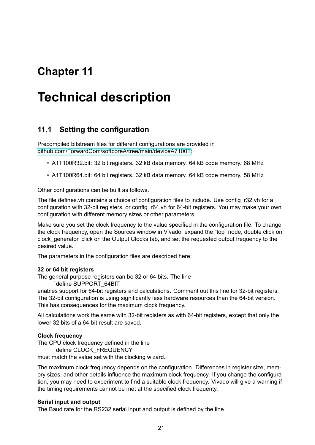# <span id="page-21-0"></span>**Technical description**

### <span id="page-21-1"></span>**11.1 Setting the configuration**

Precompiled bitstream files for different configurations are provided in [github.com/ForwardCom/softcoreA/tree/main/deviceA7100T:](https://github.com/ForwardCom/softcoreA/tree/main/deviceA7100T)

- A1T100R32.bit: 32 bit registers. 32 kB data memory. 64 kB code memory. 68 MHz
- A1T100R64.bit: 64 bit registers. 32 kB data memory. 64 kB code memory. 58 MHz

Other configurations can be built as follows.

The file defines.vh contains a choice of configuration files to include. Use config r32.vh for a configuration with 32-bit registers, or config r64.vh for 64-bit registers. You may make your own configuration with different memory sizes or other parameters.

Make sure you set the clock frequency to the value specified in the configuration file. To change the clock frequency, open the Sources window in Vivado, expand the "top" node, double click on clock\_generator, click on the Output Clocks tab, and set the requested output frequency to the desired value.

The parameters in the configuration files are described here:

#### **32 or 64 bit registers**

The general purpose registers can be 32 or 64 bits. The line `define SUPPORT\_64BIT

enables support for 64-bit registers and calculations. Comment out this line for 32-bit registers. The 32-bit configuration is using significantly less hardware resources than the 64-bit version. This has consequences for the maximum clock frequency.

All calculations work the same with 32-bit registers as with 64-bit registers, except that only the lower 32 bits of a 64-bit result are saved.

#### **Clock frequency**

The CPU clock frequency defined in the line

`define CLOCK\_FREQUENCY

must match the value set with the clocking wizard.

The maximum clock frequency depends on the configuration. Differences in register size, memory sizes, and other details influence the maximum clock frequency. If you change the configuration, you may need to experiment to find a suitable clock frequency. Vivado will give a warning if the timing requirements cannot be met at the specified clock frequenty.

#### **Serial input and output**

The Baud rate for the RS232 serial input and output is defined by the line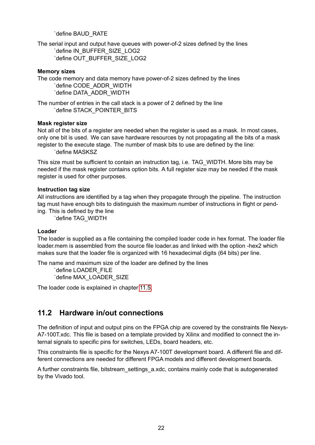`define BAUD\_RATE

The serial input and output have queues with power-of-2 sizes defined by the lines `define IN\_BUFFER\_SIZE\_LOG2 `define OUT\_BUFFER\_SIZE\_LOG2

#### **Memory sizes**

The code memory and data memory have power-of-2 sizes defined by the lines `define CODE\_ADDR\_WIDTH `define DATA\_ADDR\_WIDTH

The number of entries in the call stack is a power of 2 defined by the line `define STACK\_POINTER\_BITS

#### **Mask register size**

Not all of the bits of a register are needed when the register is used as a mask. In most cases, only one bit is used. We can save hardware resources by not propagating all the bits of a mask register to the execute stage. The number of mask bits to use are defined by the line: `define MASKSZ

This size must be sufficient to contain an instruction tag, i.e. TAG\_WIDTH. More bits may be needed if the mask register contains option bits. A full register size may be needed if the mask register is used for other purposes.

#### **Instruction tag size**

All instructions are identified by a tag when they propagate through the pipeline. The instruction tag must have enough bits to distinguish the maximum number of instructions in flight or pending. This is defined by the line

`define TAG\_WIDTH

#### **Loader**

The loader is supplied as a file containing the compiled loader code in hex format. The loader file loader.mem is assembled from the source file loader.as and linked with the option -hex2 which makes sure that the loader file is organized with 16 hexadecimal digits (64 bits) per line.

The name and maximum size of the loader are defined by the lines

`define LOADER\_FILE `define MAX\_LOADER\_SIZE

The loader code is explained in chapter [11.5.](#page-31-0)

### <span id="page-22-0"></span>**11.2 Hardware in/out connections**

The definition of input and output pins on the FPGA chip are covered by the constraints file Nexys-A7-100T.xdc. This file is based on a template provided by Xilinx and modified to connect the internal signals to specific pins for switches, LEDs, board headers, etc.

This constraints file is specific for the Nexys A7-100T development board. A different file and different connections are needed for different FPGA models and different development boards.

A further constraints file, bitstream\_settings\_a.xdc, contains mainly code that is autogenerated by the Vivado tool.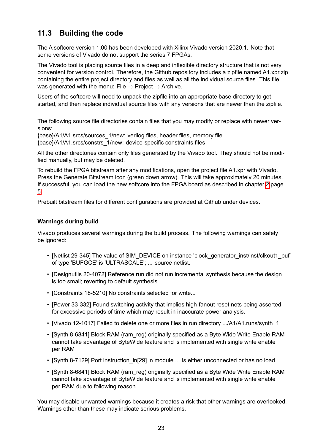### <span id="page-23-0"></span>**11.3 Building the code**

The A softcore version 1.00 has been developed with Xilinx Vivado version 2020.1. Note that some versions of Vivado do not support the series 7 FPGAs.

The Vivado tool is placing source files in a deep and inflexible directory structure that is not very convenient for version control. Therefore, the Github repository includes a zipfile named A1.xpr.zip containing the entire project directory and files as well as all the individual source files. This file was generated with the menu: File  $\rightarrow$  Project  $\rightarrow$  Archive.

Users of the softcore will need to unpack the zipfile into an appropriate base directory to get started, and then replace individual source files with any versions that are newer than the zipfile.

The following source file directories contain files that you may modify or replace with newer versions:

{base}/A1/A1.srcs/sources\_1/new: verilog files, header files, memory file {base}/A1/A1.srcs/constrs\_1/new: device-specific constraints files

All the other directories contain only files generated by the Vivado tool. They should not be modified manually, but may be deleted.

To rebuild the FPGA bitstream after any modifications, open the project file A1.xpr with Vivado. Press the Generate Bitstream icon (green down arrow). This will take approximately 20 minutes. If successful, you can load the new softcore into the FPGA board as described in chapter [2](#page-5-0) page [5.](#page-5-0)

Prebuilt bitstream files for different configurations are provided at Github under devices.

#### **Warnings during build**

Vivado produces several warnings during the build process. The following warnings can safely be ignored:

- [Netlist 29-345] The value of SIM\_DEVICE on instance 'clock\_generator\_inst/inst/clkout1\_buf' of type 'BUFGCE' is 'ULTRASCALE'; ... source netlist.
- [Designutils 20-4072] Reference run did not run incremental synthesis because the design is too small; reverting to default synthesis
- [Constraints 18-5210] No constraints selected for write...
- [Power 33-332] Found switching activity that implies high-fanout reset nets being asserted for excessive periods of time which may result in inaccurate power analysis.
- [Vivado 12-1017] Failed to delete one or more files in run directory .../A1/A1.runs/synth\_1
- [Synth 8-6841] Block RAM (ram reg) originally specified as a Byte Wide Write Enable RAM cannot take advantage of ByteWide feature and is implemented with single write enable per RAM
- [Synth 8-7129] Port instruction in[29] in module ... is either unconnected or has no load
- [Synth 8-6841] Block RAM (ram\_reg) originally specified as a Byte Wide Write Enable RAM cannot take advantage of ByteWide feature and is implemented with single write enable per RAM due to following reason...

You may disable unwanted warnings because it creates a risk that other warnings are overlooked. Warnings other than these may indicate serious problems.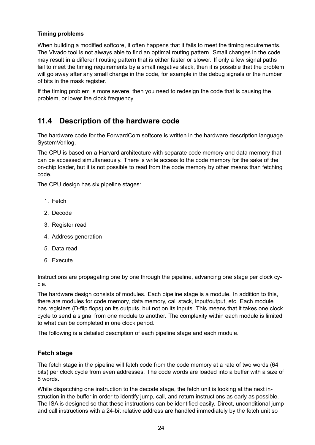#### **Timing problems**

When building a modified softcore, it often happens that it fails to meet the timing requirements. The Vivado tool is not always able to find an optimal routing pattern. Small changes in the code may result in a different routing pattern that is either faster or slower. If only a few signal paths fail to meet the timing requirements by a small negative slack, then it is possible that the problem will go away after any small change in the code, for example in the debug signals or the number of bits in the mask register.

If the timing problem is more severe, then you need to redesign the code that is causing the problem, or lower the clock frequency.

### <span id="page-24-0"></span>**11.4 Description of the hardware code**

The hardware code for the ForwardCom softcore is written in the hardware description language SystemVerilog.

The CPU is based on a Harvard architecture with separate code memory and data memory that can be accessed simultaneously. There is write access to the code memory for the sake of the on-chip loader, but it is not possible to read from the code memory by other means than fetching code.

The CPU design has six pipeline stages:

- 1. Fetch
- 2. Decode
- 3. Register read
- 4. Address generation
- 5. Data read
- 6. Execute

Instructions are propagating one by one through the pipeline, advancing one stage per clock cycle.

The hardware design consists of modules. Each pipeline stage is a module. In addition to this, there are modules for code memory, data memory, call stack, input/output, etc. Each module has registers (D-flip flops) on its outputs, but not on its inputs. This means that it takes one clock cycle to send a signal from one module to another. The complexity within each module is limited to what can be completed in one clock period.

The following is a detailed description of each pipeline stage and each module.

#### <span id="page-24-1"></span>**Fetch stage**

The fetch stage in the pipeline will fetch code from the code memory at a rate of two words (64 bits) per clock cycle from even addresses. The code words are loaded into a buffer with a size of 8 words.

While dispatching one instruction to the decode stage, the fetch unit is looking at the next instruction in the buffer in order to identify jump, call, and return instructions as early as possible. The ISA is designed so that these instructions can be identified easily. Direct, unconditional jump and call instructions with a 24-bit relative address are handled immediately by the fetch unit so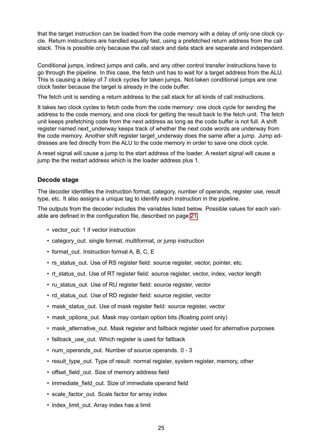that the target instruction can be loaded from the code memory with a delay of only one clock cycle. Return instructions are handled equally fast, using a prefetched return address from the call stack. This is possible only because the call stack and data stack are separate and independent.

Conditional jumps, indirect jumps and calls, and any other control transfer instructions have to go through the pipeline. In this case, the fetch unit has to wait for a target address from the ALU. This is causing a delay of 7 clock cycles for taken jumps. Not-taken conditional jumps are one clock faster because the target is already in the code buffer.

The fetch unit is sending a return address to the call stack for all kinds of call instructions.

It takes two clock cycles to fetch code from the code memory: one clock cycle for sending the address to the code memory, and one clock for getting the result back to the fetch unit. The fetch unit keeps prefetching code from the next address as long as the code buffer is not full. A shift register named next underway keeps track of whether the next code words are underway from the code memory. Another shift register target underway does the same after a jump. Jump addresses are fed directly from the ALU to the code memory in order to save one clock cycle.

A reset signal will cause a jump to the start address of the loader. A restart signal will cause a jump the the restart address which is the loader address plus 1.

#### <span id="page-25-0"></span>**Decode stage**

The decoder identifies the instruction format, category, number of operands, register use, result type, etc. It also assigns a unique tag to identify each instruction in the pipeline.

The outputs from the decoder includes the variables listed below. Possible values for each variable are defined in the configuration file, described on page [21.](#page-21-1)

- vector out: 1 if vector instruction
- category out: single format, multiformat, or jump instruction
- format out. Instruction format A, B, C, E
- rs\_status\_out. Use of RS register field: source register, vector, pointer, etc.
- It status out. Use of RT register field: source register, vector, index, vector length
- ru\_status\_out. Use of RU register field: source register, vector
- rd status out. Use of RD register field: source register, vector
- mask status out. Use of mask register field: source register, vector
- mask options out. Mask may contain option bits (floating point only)
- mask alternative out. Mask register and fallback register used for alternative purposes
- fallback use out. Which register is used for fallback
- num\_operands\_out. Number of source operands. 0 3
- result type out. Type of result: normal register, system register, memory, other
- offset field out. Size of memory address field
- immediate field out. Size of immediate operand field
- scale factor out. Scale factor for array index
- index limit out. Array index has a limit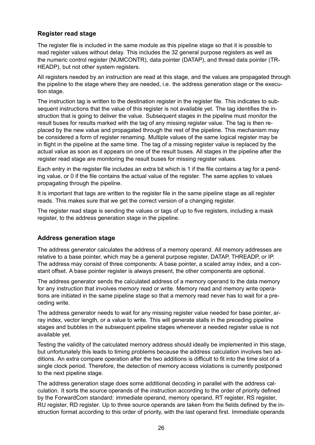#### <span id="page-26-0"></span>**Register read stage**

The register file is included in the same module as this pipeline stage so that it is possible to read register values without delay. This includes the 32 general purpose registers as well as the numeric control register (NUMCONTR), data pointer (DATAP), and thread data pointer (TR-HEADP), but not other system registers.

All registers needed by an instruction are read at this stage, and the values are propagated through the pipeline to the stage where they are needed, i.e. the address generation stage or the execution stage.

The instruction tag is written to the destination register in the register file. This indicates to subsequent instructions that the value of this register is not available yet. The tag identifies the instruction that is going to deliver the value. Subsequent stages in the pipeline must monitor the result buses for results marked with the tag of any missing register value. The tag is then replaced by the new value and propagated through the rest of the pipeline. This mechanism may be considered a form of register renaming. Multiple values of the same logical register may be in flight in the pipeline at the same time. The tag of a missing register value is replaced by the actual value as soon as it appears on one of the result buses. All stages in the pipeline after the register read stage are monitoring the result buses for missing register values.

Each entry in the register file includes an extra bit which is 1 if the file contains a tag for a pending value, or 0 if the file contains the actual value of the register. The same applies to values propagating through the pipeline.

It is important that tags are written to the register file in the same pipeline stage as all register reads. This makes sure that we get the correct version of a changing register.

The register read stage is sending the values or tags of up to five registers, including a mask register, to the address generation stage in the pipeline.

#### <span id="page-26-1"></span>**Address generation stage**

The address generator calculates the address of a memory operand. All memory addresses are relative to a base pointer, which may be a general purpose register, DATAP, THREADP, or IP. The address may consist of three components: A base pointer, a scaled array index, and a constant offset. A base pointer register is always present, the other components are optional.

The address generator sends the calculated address of a memory operand to the data memory for any instruction that involves memory read or write. Memory read and memory write operations are initiated in the same pipeline stage so that a memory read never has to wait for a preceding write.

The address generator needs to wait for any missing register value needed for base pointer, array index, vector length, or a value to write. This will generate stalls in the preceding pipeline stages and bubbles in the subsequent pipeline stages whenever a needed register value is not available yet.

Testing the validity of the calculated memory address should ideally be implemented in this stage, but unfortunately this leads to timing problems because the address calculation involves two additions. An extra compare operation after the two additions is difficult to fit into the time slot of a single clock period. Therefore, the detection of memory access violations is currently postponed to the next pipeline stage.

The address generation stage does some additional decoding in parallel with the address calculation. It sorts the source operands of the instruction according to the order of priority defined by the ForwardCom standard: immediate operand, memory operand, RT register, RS register, RU register, RD register. Up to three source operands are taken from the fields defined by the instruction format according to this order of priority, with the last operand first. Immediate operands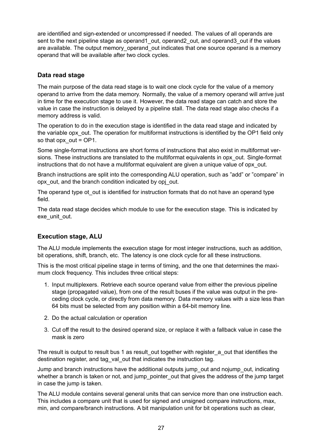are identified and sign-extended or uncompressed if needed. The values of all operands are sent to the next pipeline stage as operand1 out, operand2 out, and operand3 out if the values are available. The output memory operand out indicates that one source operand is a memory operand that will be available after two clock cycles.

#### <span id="page-27-0"></span>**Data read stage**

The main purpose of the data read stage is to wait one clock cycle for the value of a memory operand to arrive from the data memory. Normally, the value of a memory operand will arrive just in time for the execution stage to use it. However, the data read stage can catch and store the value in case the instruction is delayed by a pipeline stall. The data read stage also checks if a memory address is valid.

The operation to do in the execution stage is identified in the data read stage and indicated by the variable opx out. The operation for multiformat instructions is identified by the OP1 field only so that opx  $out = OP1$ .

Some single-format instructions are short forms of instructions that also exist in multiformat versions. These instructions are translated to the multiformat equivalents in opx out. Single-format instructions that do not have a multiformat equivalent are given a unique value of opx\_out.

Branch instructions are split into the corresponding ALU operation, such as "add" or "compare" in opx out, and the branch condition indicated by opj out.

The operand type ot out is identified for instruction formats that do not have an operand type field.

The data read stage decides which module to use for the execution stage. This is indicated by exe\_unit\_out.

### <span id="page-27-1"></span>**Execution stage, ALU**

The ALU module implements the execution stage for most integer instructions, such as addition, bit operations, shift, branch, etc. The latency is one clock cycle for all these instructions.

This is the most critical pipeline stage in terms of timing, and the one that determines the maximum clock frequency. This includes three critical steps:

- 1. Input multiplexers. Retrieve each source operand value from either the previous pipeline stage (propagated value), from one of the result buses if the value was output in the preceding clock cycle, or directly from data memory. Data memory values with a size less than 64 bits must be selected from any position within a 64-bit memory line.
- 2. Do the actual calculation or operation
- 3. Cut off the result to the desired operand size, or replace it with a fallback value in case the mask is zero

The result is output to result bus 1 as result out together with register a out that identifies the destination register, and tag val out that indicates the instruction tag.

Jump and branch instructions have the additional outputs jump\_out and nojump\_out, indicating whether a branch is taken or not, and jump pointer out that gives the address of the jump target in case the jump is taken.

The ALU module contains several general units that can service more than one instruction each. This includes a compare unit that is used for signed and unsigned compare instructions, max, min, and compare/branch instructions. A bit manipulation unit for bit operations such as clear,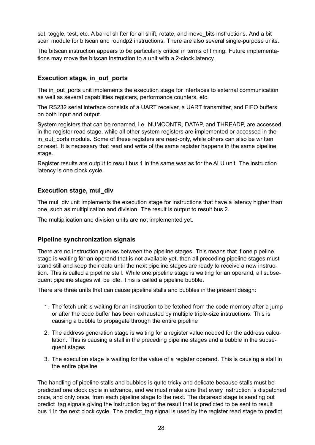set, toggle, test, etc. A barrel shifter for all shift, rotate, and move bits instructions. And a bit scan module for bitscan and roundp2 instructions. There are also several single-purpose units.

The bitscan instruction appears to be particularly critical in terms of timing. Future implementations may move the bitscan instruction to a unit with a 2-clock latency.

#### <span id="page-28-0"></span>**Execution stage, in\_out\_ports**

The in out ports unit implements the execution stage for interfaces to external communication as well as several capabilities registers, performance counters, etc.

The RS232 serial interface consists of a UART receiver, a UART transmitter, and FIFO buffers on both input and output.

System registers that can be renamed, i.e. NUMCONTR, DATAP, and THREADP, are accessed in the register read stage, while all other system registers are implemented or accessed in the in out ports module. Some of these registers are read-only, while others can also be written or reset. It is necessary that read and write of the same register happens in the same pipeline stage.

Register results are output to result bus 1 in the same was as for the ALU unit. The instruction latency is one clock cycle.

#### <span id="page-28-1"></span>**Execution stage, mul\_div**

The mul div unit implements the execution stage for instructions that have a latency higher than one, such as multiplication and division. The result is output to result bus 2.

The multiplication and division units are not implemented yet.

#### <span id="page-28-2"></span>**Pipeline synchronization signals**

There are no instruction queues between the pipeline stages. This means that if one pipeline stage is waiting for an operand that is not available yet, then all preceding pipeline stages must stand still and keep their data until the next pipeline stages are ready to receive a new instruction. This is called a pipeline stall. While one pipeline stage is waiting for an operand, all subsequent pipeline stages will be idle. This is called a pipeline bubble.

There are three units that can cause pipeline stalls and bubbles in the present design:

- 1. The fetch unit is waiting for an instruction to be fetched from the code memory after a jump or after the code buffer has been exhausted by multiple triple-size instructions. This is causing a bubble to propagate through the entire pipeline
- 2. The address generation stage is waiting for a register value needed for the address calculation. This is causing a stall in the preceding pipeline stages and a bubble in the subsequent stages
- 3. The execution stage is waiting for the value of a register operand. This is causing a stall in the entire pipeline

The handling of pipeline stalls and bubbles is quite tricky and delicate because stalls must be predicted one clock cycle in advance, and we must make sure that every instruction is dispatched once, and only once, from each pipeline stage to the next. The dataread stage is sending out predict tag signals giving the instruction tag of the result that is predicted to be sent to result bus 1 in the next clock cycle. The predict tag signal is used by the register read stage to predict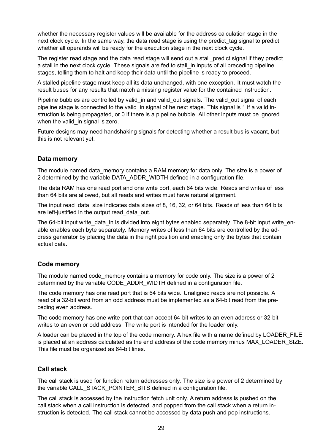whether the necessary register values will be available for the address calculation stage in the next clock cycle. In the same way, the data read stage is using the predict tag signal to predict whether all operands will be ready for the execution stage in the next clock cycle.

The register read stage and the data read stage will send out a stall predict signal if they predict a stall in the next clock cycle. These signals are fed to stall in inputs of all preceding pipeline stages, telling them to halt and keep their data until the pipeline is ready to proceed.

A stalled pipeline stage must keep all its data unchanged, with one exception. It must watch the result buses for any results that match a missing register value for the contained instruction.

Pipeline bubbles are controlled by valid\_in and valid\_out signals. The valid\_out signal of each pipeline stage is connected to the valid in signal of he next stage. This signal is 1 if a valid instruction is being propagated, or 0 if there is a pipeline bubble. All other inputs must be ignored when the valid in signal is zero.

Future designs may need handshaking signals for detecting whether a result bus is vacant, but this is not relevant yet.

#### <span id="page-29-0"></span>**Data memory**

The module named data memory contains a RAM memory for data only. The size is a power of 2 determined by the variable DATA\_ADDR\_WIDTH defined in a configuration file.

The data RAM has one read port and one write port, each 64 bits wide. Reads and writes of less than 64 bits are allowed, but all reads and writes must have natural alignment.

The input read data size indicates data sizes of 8, 16, 32, or 64 bits. Reads of less than 64 bits are left-justified in the output read\_data\_out.

The 64-bit input write data in is divided into eight bytes enabled separately. The 8-bit input write enable enables each byte separately. Memory writes of less than 64 bits are controlled by the address generator by placing the data in the right position and enabling only the bytes that contain actual data.

#### <span id="page-29-1"></span>**Code memory**

The module named code memory contains a memory for code only. The size is a power of 2 determined by the variable CODE\_ADDR\_WIDTH defined in a configuration file.

The code memory has one read port that is 64 bits wide. Unaligned reads are not possible. A read of a 32-bit word from an odd address must be implemented as a 64-bit read from the preceding even address.

The code memory has one write port that can accept 64-bit writes to an even address or 32-bit writes to an even or odd address. The write port is intended for the loader only.

A loader can be placed in the top of the code memory. A hex file with a name defined by LOADER\_FILE is placed at an address calculated as the end address of the code memory minus MAX\_LOADER\_SIZE. This file must be organized as 64-bit lines.

#### <span id="page-29-2"></span>**Call stack**

The call stack is used for function return addresses only. The size is a power of 2 determined by the variable CALL\_STACK\_POINTER\_BITS defined in a configuration file.

The call stack is accessed by the instruction fetch unit only. A return address is pushed on the call stack when a call instruction is detected, and popped from the call stack when a return instruction is detected. The call stack cannot be accessed by data push and pop instructions.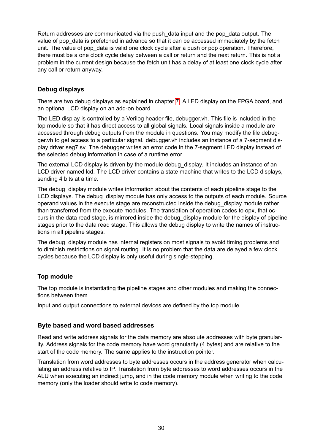Return addresses are communicated via the push\_data input and the pop\_data output. The value of pop data is prefetched in advance so that it can be accessed immediately by the fetch unit. The value of pop data is valid one clock cycle after a push or pop operation. Therefore, there must be a one clock cycle delay between a call or return and the next return. This is not a problem in the current design because the fetch unit has a delay of at least one clock cycle after any call or return anyway.

#### <span id="page-30-0"></span>**Debug displays**

There are two debug displays as explained in chapter [7.](#page-11-0) A LED display on the FPGA board, and an optional LCD display on an add-on board.

The LED display is controlled by a Verilog header file, debugger.vh. This file is included in the top module so that it has direct access to all global signals. Local signals inside a module are accessed through debug outputs from the module in questions. You may modify the file debugger.vh to get access to a particular signal. debugger.vh includes an instance of a 7-segment display driver seg7.sv. The debugger writes an error code in the 7-segment LED display instead of the selected debug information in case of a runtime error.

The external LCD display is driven by the module debug display. It includes an instance of an LCD driver named lcd. The LCD driver contains a state machine that writes to the LCD displays, sending 4 bits at a time.

The debug display module writes information about the contents of each pipeline stage to the LCD displays. The debug display module has only access to the outputs of each module. Source operand values in the execute stage are reconstructed inside the debug\_display module rather than transferred from the execute modules. The translation of operation codes to opx, that occurs in the data read stage, is mirrored inside the debug\_display module for the display of pipeline stages prior to the data read stage. This allows the debug display to write the names of instructions in all pipeline stages.

The debug display module has internal registers on most signals to avoid timing problems and to diminish restrictions on signal routing. It is no problem that the data are delayed a few clock cycles because the LCD display is only useful during single-stepping.

#### <span id="page-30-1"></span>**Top module**

The top module is instantiating the pipeline stages and other modules and making the connections between them.

Input and output connections to external devices are defined by the top module.

#### <span id="page-30-2"></span>**Byte based and word based addresses**

Read and write address signals for the data memory are absolute addresses with byte granularity. Address signals for the code memory have word granularity (4 bytes) and are relative to the start of the code memory. The same applies to the instruction pointer.

Translation from word addresses to byte addresses occurs in the address generator when calculating an address relative to IP. Translation from byte addresses to word addresses occurs in the ALU when executing an indirect jump, and in the code memory module when writing to the code memory (only the loader should write to code memory).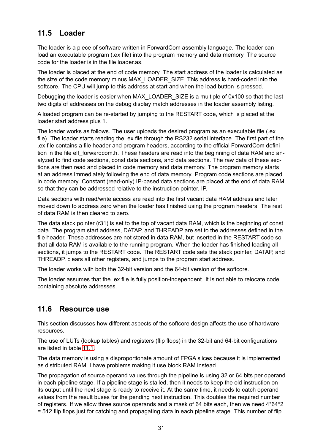### <span id="page-31-0"></span>**11.5 Loader**

The loader is a piece of software written in ForwardCom assembly language. The loader can load an executable program (.ex file) into the program memory and data memory. The source code for the loader is in the file loader.as.

The loader is placed at the end of code memory. The start address of the loader is calculated as the size of the code memory minus MAX\_LOADER\_SIZE. This address is hard-coded into the softcore. The CPU will jump to this address at start and when the load button is pressed.

Debugging the loader is easier when MAX\_LOADER\_SIZE is a multiple of 0x100 so that the last two digits of addresses on the debug display match addresses in the loader assembly listing.

A loaded program can be re-started by jumping to the RESTART code, which is placed at the loader start address plus 1.

The loader works as follows. The user uploads the desired program as an executable file (.ex file). The loader starts reading the .ex file through the RS232 serial interface. The first part of the .ex file contains a file header and program headers, according to the official ForwardCom definition in the file elf forwardcom.h. These headers are read into the beginning of data RAM and analyzed to find code sections, const data sections, and data sections. The raw data of these sections are then read and placed in code memory and data memory. The program memory starts at an address immediately following the end of data memory. Program code sections are placed in code memory. Constant (read-only) IP-based data sections are placed at the end of data RAM so that they can be addressed relative to the instruction pointer, IP.

Data sections with read/write access are read into the first vacant data RAM address and later moved down to address zero when the loader has finished using the program headers. The rest of data RAM is then cleared to zero.

The data stack pointer (r31) is set to the top of vacant data RAM, which is the beginning of const data. The program start address, DATAP, and THREADP are set to the addresses defined in the file header. These addresses are not stored in data RAM, but inserted in the RESTART code so that all data RAM is available to the running program. When the loader has finished loading all sections, it jumps to the RESTART code. The RESTART code sets the stack pointer, DATAP, and THREADP, clears all other registers, and jumps to the program start address.

The loader works with both the 32-bit version and the 64-bit version of the softcore.

The loader assumes that the .ex file is fully position-independent. It is not able to relocate code containing absolute addresses.

### <span id="page-31-1"></span>**11.6 Resource use**

This section discusses how different aspects of the softcore design affects the use of hardware resources.

The use of LUTs (lookup tables) and registers (flip flops) in the 32-bit and 64-bit configurations are listed in table [11.1.](#page-32-1)

The data memory is using a disproportionate amount of FPGA slices because it is implemented as distributed RAM. I have problems making it use block RAM instead.

The propagation of source operand values through the pipeline is using 32 or 64 bits per operand in each pipeline stage. If a pipeline stage is stalled, then it needs to keep the old instruction on its output until the next stage is ready to receive it. At the same time, it needs to catch operand values from the result buses for the pending next instruction. This doubles the required number of registers. If we allow three source operands and a mask of 64 bits each, then we need 4\*64\*2 = 512 flip flops just for catching and propagating data in each pipeline stage. This number of flip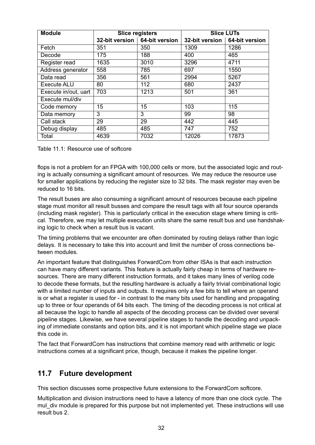<span id="page-32-1"></span>

| <b>Module</b>        | <b>Slice registers</b> |                                 | <b>Slice LUTs</b> |                                 |
|----------------------|------------------------|---------------------------------|-------------------|---------------------------------|
|                      |                        | 32-bit version   64-bit version |                   | 32-bit version   64-bit version |
| Fetch                | 351                    | 350                             | 1309              | 1286                            |
| Decode               | 175                    | 188                             | 400               | 465                             |
| Register read        | 1635                   | 3010                            | 3296              | 4711                            |
| Address generator    | 558                    | 785                             | 697               | 1550                            |
| Data read            | 356                    | 561                             | 2994              | 5267                            |
| <b>Execute ALU</b>   | 80                     | 112                             | 680               | 2437                            |
| Execute in/out, uart | 703                    | 1213                            | 501               | 361                             |
| Execute mul/div      |                        |                                 |                   |                                 |
| Code memory          | 15                     | 15                              | 103               | 115                             |
| Data memory          | 3                      | 3                               | 99                | 98                              |
| Call stack           | 29                     | 29                              | 442               | 445                             |
| Debug display        | 485                    | 485                             | 747               | 752                             |
| Total                | 4639                   | 7032                            | 12026             | 17873                           |

Table 11.1: Resource use of softcore

flops is not a problem for an FPGA with 100,000 cells or more, but the associated logic and routing is actually consuming a significant amount of resources. We may reduce the resource use for smaller applications by reducing the register size to 32 bits. The mask register may even be reduced to 16 bits.

The result buses are also consuming a significant amount of resources because each pipeline stage must monitor all result busses and compare the result tags with all four source operands (including mask register). This is particularly critical in the execution stage where timing is critical. Therefore, we may let multiple execution units share the same result bus and use handshaking logic to check when a result bus is vacant.

The timing problems that we encounter are often dominated by routing delays rather than logic delays. It is necessary to take this into account and limit the number of cross connections between modules.

An important feature that distinguishes ForwardCom from other ISAs is that each instruction can have many different variants. This feature is actually fairly cheap in terms of hardware resources. There are many different instruction formats, and it takes many lines of verilog code to decode these formats, but the resulting hardware is actually a fairly trivial combinational logic with a limited number of inputs and outputs. It requires only a few bits to tell where an operand is or what a register is used for - in contrast to the many bits used for handling and propagating up to three or four operands of 64 bits each. The timing of the decoding process is not critical at all because the logic to handle all aspects of the decoding process can be divided over several pipeline stages. Likewise, we have several pipeline stages to handle the decoding and unpacking of immediate constants and option bits, and it is not important which pipeline stage we place this code in.

The fact that ForwardCom has instructions that combine memory read with arithmetic or logic instructions comes at a significant price, though, because it makes the pipeline longer.

### <span id="page-32-0"></span>**11.7 Future development**

This section discusses some prospective future extensions to the ForwardCom softcore.

Multiplication and division instructions need to have a latency of more than one clock cycle. The mul div module is prepared for this purpose but not implemented yet. These instructions will use result bus 2.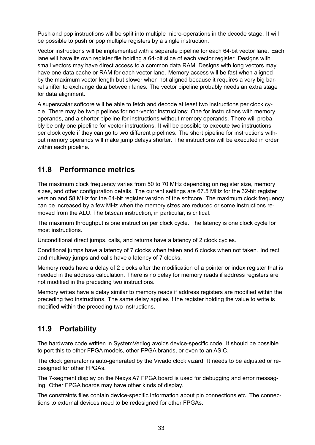Push and pop instructions will be split into multiple micro-operations in the decode stage. It will be possible to push or pop multiple registers by a single instruction.

Vector instructions will be implemented with a separate pipeline for each 64-bit vector lane. Each lane will have its own register file holding a 64-bit slice of each vector register. Designs with small vectors may have direct access to a common data RAM. Designs with long vectors may have one data cache or RAM for each vector lane. Memory access will be fast when aligned by the maximum vector length but slower when not aligned because it requires a very big barrel shifter to exchange data between lanes. The vector pipeline probably needs an extra stage for data alignment.

A superscalar softcore will be able to fetch and decode at least two instructions per clock cycle. There may be two pipelines for non-vector instructions: One for instructions with memory operands, and a shorter pipeline for instructions without memory operands. There will probably be only one pipeline for vector instructions. It will be possible to execute two instructions per clock cycle if they can go to two different pipelines. The short pipeline for instructions without memory operands will make jump delays shorter. The instructions will be executed in order within each pipeline.

### <span id="page-33-0"></span>**11.8 Performance metrics**

The maximum clock frequency varies from 50 to 70 MHz depending on register size, memory sizes, and other configuration details. The current settings are 67.5 MHz for the 32-bit register version and 58 MHz for the 64-bit register version of the softcore. The maximum clock frequency can be increased by a few MHz when the memory sizes are reduced or some instructions removed from the ALU. The bitscan instruction, in particular, is critical.

The maximum throughput is one instruction per clock cycle. The latency is one clock cycle for most instructions.

Unconditional direct jumps, calls, and returns have a latency of 2 clock cycles.

Conditional jumps have a latency of 7 clocks when taken and 6 clocks when not taken. Indirect and multiway jumps and calls have a latency of 7 clocks.

Memory reads have a delay of 2 clocks after the modification of a pointer or index register that is needed in the address calculation. There is no delay for memory reads if address registers are not modified in the preceding two instructions.

Memory writes have a delay similar to memory reads if address registers are modified within the preceding two instructions. The same delay applies if the register holding the value to write is modified within the preceding two instructions.

### <span id="page-33-1"></span>**11.9 Portability**

The hardware code written in SystemVerilog avoids device-specific code. It should be possible to port this to other FPGA models, other FPGA brands, or even to an ASIC.

The clock generator is auto-generated by the Vivado clock vizard. It needs to be adjusted or redesigned for other FPGAs.

The 7-segment display on the Nexys A7 FPGA board is used for debugging and error messaging. Other FPGA boards may have other kinds of display.

The constraints files contain device-specific information about pin connections etc. The connections to external devices need to be redesigned for other FPGAs.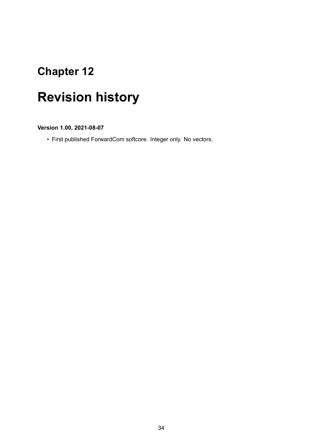# <span id="page-34-0"></span>**Revision history**

**Version 1.00, 2021-08-07**

• First published ForwardCom softcore. Integer only. No vectors.